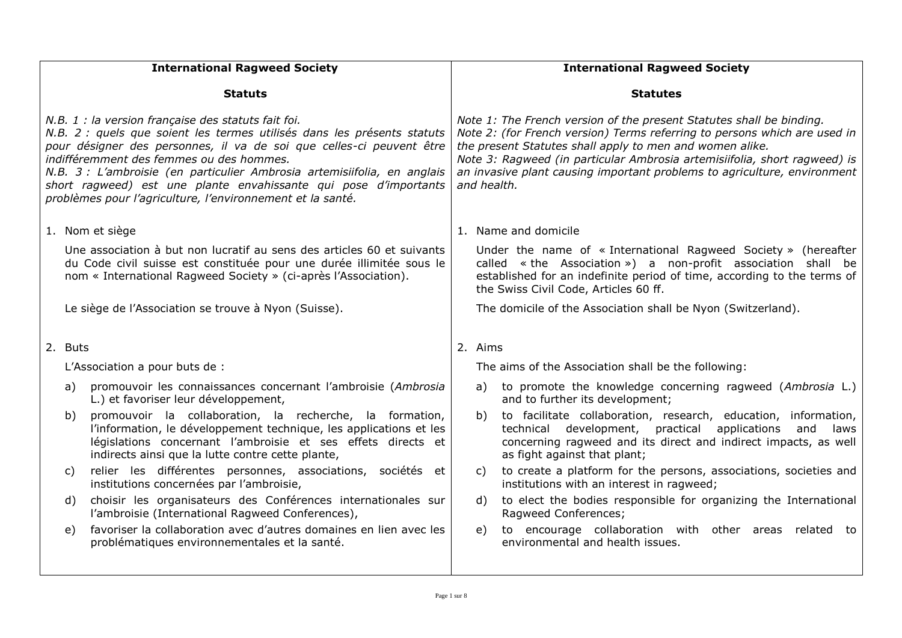| <b>International Ragweed Society</b>                                                                                                                                                                                                                                                                                                                                                                                                                             |         | <b>International Ragweed Society</b>                                                                                                                                                                                                                |                                                                                                                                                                                                                                                                                                                                                                                       |         |                                                                                                                                                                                                                                                     |
|------------------------------------------------------------------------------------------------------------------------------------------------------------------------------------------------------------------------------------------------------------------------------------------------------------------------------------------------------------------------------------------------------------------------------------------------------------------|---------|-----------------------------------------------------------------------------------------------------------------------------------------------------------------------------------------------------------------------------------------------------|---------------------------------------------------------------------------------------------------------------------------------------------------------------------------------------------------------------------------------------------------------------------------------------------------------------------------------------------------------------------------------------|---------|-----------------------------------------------------------------------------------------------------------------------------------------------------------------------------------------------------------------------------------------------------|
|                                                                                                                                                                                                                                                                                                                                                                                                                                                                  |         | <b>Statuts</b>                                                                                                                                                                                                                                      |                                                                                                                                                                                                                                                                                                                                                                                       |         | <b>Statutes</b>                                                                                                                                                                                                                                     |
| N.B. 1 : la version française des statuts fait foi.<br>N.B. 2 : quels que soient les termes utilisés dans les présents statuts<br>pour désigner des personnes, il va de soi que celles-ci peuvent être<br>indifféremment des femmes ou des hommes.<br>N.B. 3 : L'ambroisie (en particulier Ambrosia artemisiifolia, en anglais<br>short ragweed) est une plante envahissante qui pose d'importants<br>problèmes pour l'agriculture, l'environnement et la santé. |         |                                                                                                                                                                                                                                                     | Note 1: The French version of the present Statutes shall be binding.<br>Note 2: (for French version) Terms referring to persons which are used in<br>the present Statutes shall apply to men and women alike.<br>Note 3: Ragweed (in particular Ambrosia artemisiifolia, short ragweed) is<br>an invasive plant causing important problems to agriculture, environment<br>and health. |         |                                                                                                                                                                                                                                                     |
|                                                                                                                                                                                                                                                                                                                                                                                                                                                                  |         | 1. Nom et siège                                                                                                                                                                                                                                     |                                                                                                                                                                                                                                                                                                                                                                                       |         | 1. Name and domicile                                                                                                                                                                                                                                |
|                                                                                                                                                                                                                                                                                                                                                                                                                                                                  |         | Une association à but non lucratif au sens des articles 60 et suivants<br>du Code civil suisse est constituée pour une durée illimitée sous le<br>nom « International Ragweed Society » (ci-après l'Association).                                   |                                                                                                                                                                                                                                                                                                                                                                                       |         | Under the name of « International Ragweed Society » (hereafter<br>called « the Association ») a non-profit association shall be<br>established for an indefinite period of time, according to the terms of<br>the Swiss Civil Code, Articles 60 ff. |
|                                                                                                                                                                                                                                                                                                                                                                                                                                                                  |         | Le siège de l'Association se trouve à Nyon (Suisse).                                                                                                                                                                                                |                                                                                                                                                                                                                                                                                                                                                                                       |         | The domicile of the Association shall be Nyon (Switzerland).                                                                                                                                                                                        |
|                                                                                                                                                                                                                                                                                                                                                                                                                                                                  | 2. Buts |                                                                                                                                                                                                                                                     |                                                                                                                                                                                                                                                                                                                                                                                       | 2. Aims |                                                                                                                                                                                                                                                     |
|                                                                                                                                                                                                                                                                                                                                                                                                                                                                  |         | L'Association a pour buts de :                                                                                                                                                                                                                      |                                                                                                                                                                                                                                                                                                                                                                                       |         | The aims of the Association shall be the following:                                                                                                                                                                                                 |
|                                                                                                                                                                                                                                                                                                                                                                                                                                                                  | a)      | promouvoir les connaissances concernant l'ambroisie (Ambrosia<br>L.) et favoriser leur développement,                                                                                                                                               |                                                                                                                                                                                                                                                                                                                                                                                       | a)      | to promote the knowledge concerning ragweed (Ambrosia L.)<br>and to further its development;                                                                                                                                                        |
|                                                                                                                                                                                                                                                                                                                                                                                                                                                                  | b)      | promouvoir la collaboration, la recherche, la formation,<br>l'information, le développement technique, les applications et les<br>législations concernant l'ambroisie et ses effets directs et<br>indirects ainsi que la lutte contre cette plante, |                                                                                                                                                                                                                                                                                                                                                                                       | b)      | to facilitate collaboration, research, education, information,<br>development,<br>applications<br>technical<br>practical<br>and<br>laws<br>concerning ragweed and its direct and indirect impacts, as well<br>as fight against that plant;          |
|                                                                                                                                                                                                                                                                                                                                                                                                                                                                  | C)      | relier les différentes personnes, associations, sociétés et<br>institutions concernées par l'ambroisie,                                                                                                                                             |                                                                                                                                                                                                                                                                                                                                                                                       | C)      | to create a platform for the persons, associations, societies and<br>institutions with an interest in ragweed;                                                                                                                                      |
|                                                                                                                                                                                                                                                                                                                                                                                                                                                                  | d)      | choisir les organisateurs des Conférences internationales sur<br>l'ambroisie (International Ragweed Conferences),                                                                                                                                   |                                                                                                                                                                                                                                                                                                                                                                                       | d)      | to elect the bodies responsible for organizing the International<br>Ragweed Conferences;                                                                                                                                                            |
|                                                                                                                                                                                                                                                                                                                                                                                                                                                                  | e)      | favoriser la collaboration avec d'autres domaines en lien avec les<br>problématiques environnementales et la santé.                                                                                                                                 |                                                                                                                                                                                                                                                                                                                                                                                       | e)      | to encourage collaboration with other areas related to<br>environmental and health issues.                                                                                                                                                          |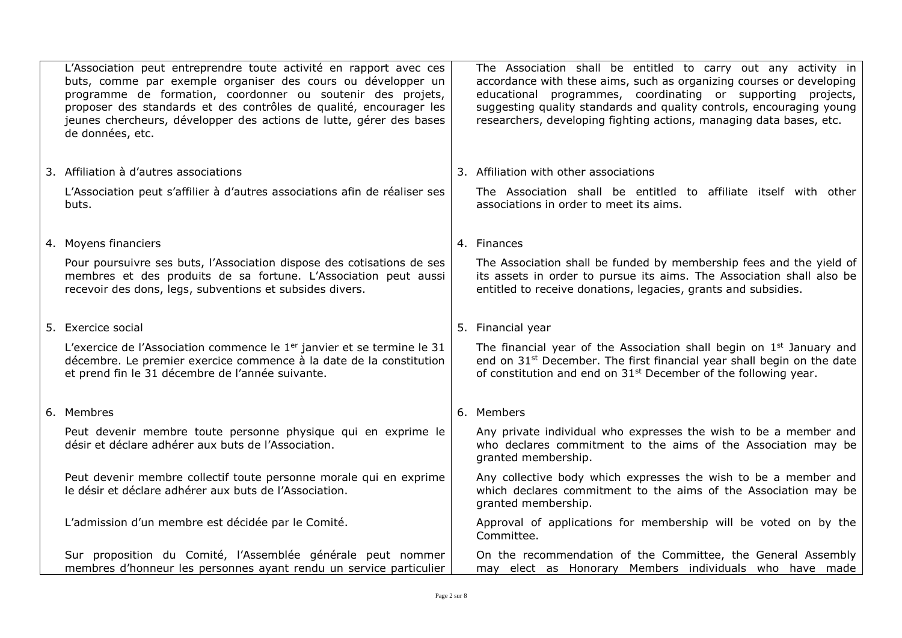| L'Association peut entreprendre toute activité en rapport avec ces<br>buts, comme par exemple organiser des cours ou développer un<br>programme de formation, coordonner ou soutenir des projets,<br>proposer des standards et des contrôles de qualité, encourager les<br>jeunes chercheurs, développer des actions de lutte, gérer des bases<br>de données, etc. | The Association shall be entitled to carry out any activity in<br>accordance with these aims, such as organizing courses or developing<br>educational programmes, coordinating or supporting projects,<br>suggesting quality standards and quality controls, encouraging young<br>researchers, developing fighting actions, managing data bases, etc. |
|--------------------------------------------------------------------------------------------------------------------------------------------------------------------------------------------------------------------------------------------------------------------------------------------------------------------------------------------------------------------|-------------------------------------------------------------------------------------------------------------------------------------------------------------------------------------------------------------------------------------------------------------------------------------------------------------------------------------------------------|
| 3. Affiliation à d'autres associations                                                                                                                                                                                                                                                                                                                             | 3. Affiliation with other associations                                                                                                                                                                                                                                                                                                                |
| L'Association peut s'affilier à d'autres associations afin de réaliser ses<br>buts.                                                                                                                                                                                                                                                                                | The Association shall be entitled to affiliate itself with other<br>associations in order to meet its aims.                                                                                                                                                                                                                                           |
| 4. Moyens financiers                                                                                                                                                                                                                                                                                                                                               | 4. Finances                                                                                                                                                                                                                                                                                                                                           |
| Pour poursuivre ses buts, l'Association dispose des cotisations de ses<br>membres et des produits de sa fortune. L'Association peut aussi<br>recevoir des dons, legs, subventions et subsides divers.                                                                                                                                                              | The Association shall be funded by membership fees and the yield of<br>its assets in order to pursue its aims. The Association shall also be<br>entitled to receive donations, legacies, grants and subsidies.                                                                                                                                        |
| 5. Exercice social                                                                                                                                                                                                                                                                                                                                                 | 5. Financial year                                                                                                                                                                                                                                                                                                                                     |
| L'exercice de l'Association commence le 1 <sup>er</sup> janvier et se termine le 31<br>décembre. Le premier exercice commence à la date de la constitution<br>et prend fin le 31 décembre de l'année suivante.                                                                                                                                                     | The financial year of the Association shall begin on $1st$ January and<br>end on 31 <sup>st</sup> December. The first financial year shall begin on the date<br>of constitution and end on $31st$ December of the following year.                                                                                                                     |
| 6. Membres                                                                                                                                                                                                                                                                                                                                                         | 6. Members                                                                                                                                                                                                                                                                                                                                            |
| Peut devenir membre toute personne physique qui en exprime le<br>désir et déclare adhérer aux buts de l'Association.                                                                                                                                                                                                                                               | Any private individual who expresses the wish to be a member and<br>who declares commitment to the aims of the Association may be<br>granted membership.                                                                                                                                                                                              |
| Peut devenir membre collectif toute personne morale qui en exprime<br>le désir et déclare adhérer aux buts de l'Association.                                                                                                                                                                                                                                       | Any collective body which expresses the wish to be a member and<br>which declares commitment to the aims of the Association may be<br>granted membership.                                                                                                                                                                                             |
| L'admission d'un membre est décidée par le Comité.                                                                                                                                                                                                                                                                                                                 | Approval of applications for membership will be voted on by the<br>Committee.                                                                                                                                                                                                                                                                         |
| Sur proposition du Comité, l'Assemblée générale peut nommer<br>membres d'honneur les personnes ayant rendu un service particulier                                                                                                                                                                                                                                  | On the recommendation of the Committee, the General Assembly<br>may elect as Honorary Members individuals who have made                                                                                                                                                                                                                               |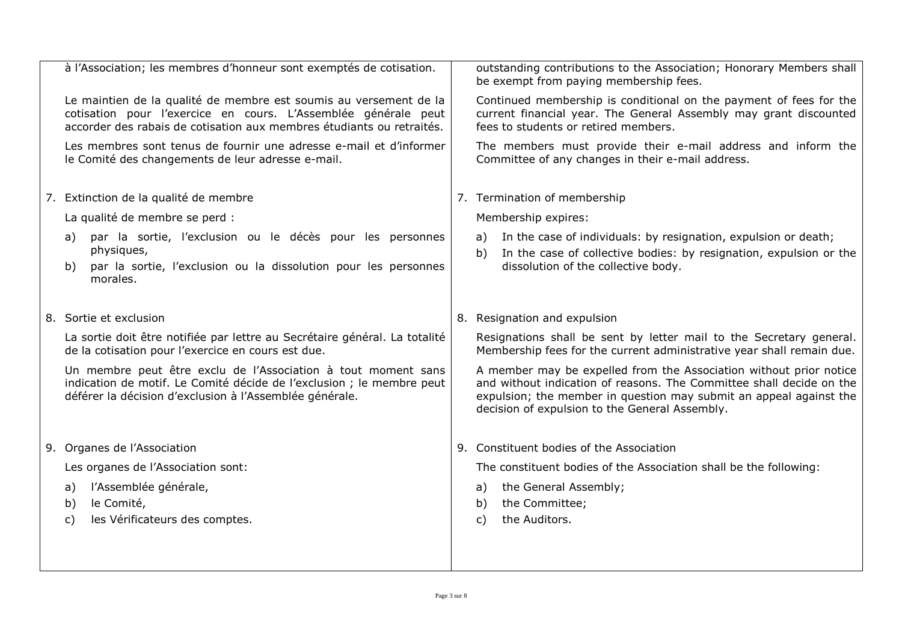| à l'Association; les membres d'honneur sont exemptés de cotisation.                                                                                                                                          | outstanding contributions to the Association; Honorary Members shall<br>be exempt from paying membership fees.                                                                                                                                                     |
|--------------------------------------------------------------------------------------------------------------------------------------------------------------------------------------------------------------|--------------------------------------------------------------------------------------------------------------------------------------------------------------------------------------------------------------------------------------------------------------------|
| Le maintien de la qualité de membre est soumis au versement de la<br>cotisation pour l'exercice en cours. L'Assemblée générale peut<br>accorder des rabais de cotisation aux membres étudiants ou retraités. | Continued membership is conditional on the payment of fees for the<br>current financial year. The General Assembly may grant discounted<br>fees to students or retired members.                                                                                    |
| Les membres sont tenus de fournir une adresse e-mail et d'informer<br>le Comité des changements de leur adresse e-mail.                                                                                      | The members must provide their e-mail address and inform the<br>Committee of any changes in their e-mail address.                                                                                                                                                  |
| 7. Extinction de la qualité de membre                                                                                                                                                                        | 7. Termination of membership                                                                                                                                                                                                                                       |
| La qualité de membre se perd :                                                                                                                                                                               | Membership expires:                                                                                                                                                                                                                                                |
| par la sortie, l'exclusion ou le décès pour les personnes<br>a)<br>physiques,                                                                                                                                | In the case of individuals: by resignation, expulsion or death;<br>a)<br>In the case of collective bodies: by resignation, expulsion or the<br>b)                                                                                                                  |
| par la sortie, l'exclusion ou la dissolution pour les personnes<br>b)<br>morales.                                                                                                                            | dissolution of the collective body.                                                                                                                                                                                                                                |
| 8. Sortie et exclusion                                                                                                                                                                                       | 8. Resignation and expulsion                                                                                                                                                                                                                                       |
| La sortie doit être notifiée par lettre au Secrétaire général. La totalité<br>de la cotisation pour l'exercice en cours est due.                                                                             | Resignations shall be sent by letter mail to the Secretary general.<br>Membership fees for the current administrative year shall remain due.                                                                                                                       |
| Un membre peut être exclu de l'Association à tout moment sans<br>indication de motif. Le Comité décide de l'exclusion ; le membre peut<br>déférer la décision d'exclusion à l'Assemblée générale.            | A member may be expelled from the Association without prior notice<br>and without indication of reasons. The Committee shall decide on the<br>expulsion; the member in question may submit an appeal against the<br>decision of expulsion to the General Assembly. |
| 9. Organes de l'Association                                                                                                                                                                                  | 9. Constituent bodies of the Association                                                                                                                                                                                                                           |
| Les organes de l'Association sont:                                                                                                                                                                           | The constituent bodies of the Association shall be the following:                                                                                                                                                                                                  |
| l'Assemblée générale,<br>a)                                                                                                                                                                                  | the General Assembly;<br>a)                                                                                                                                                                                                                                        |
| le Comité,<br>b)                                                                                                                                                                                             | the Committee;<br>b)                                                                                                                                                                                                                                               |
| les Vérificateurs des comptes.<br>c)                                                                                                                                                                         | the Auditors.<br>C)                                                                                                                                                                                                                                                |
|                                                                                                                                                                                                              |                                                                                                                                                                                                                                                                    |
|                                                                                                                                                                                                              |                                                                                                                                                                                                                                                                    |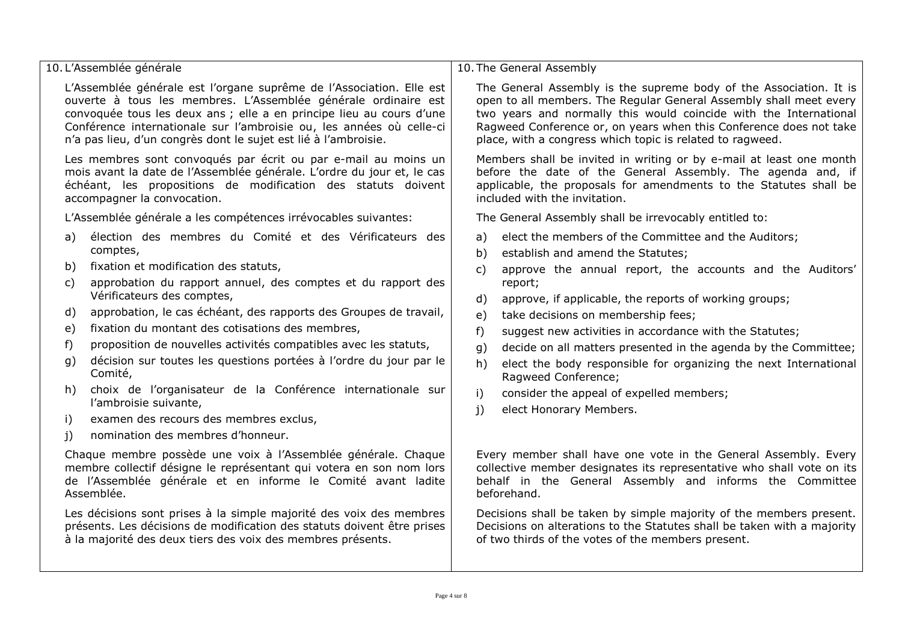| 10. L'Assemblée générale                                                | 10. The General Assembly                                                |  |  |  |  |
|-------------------------------------------------------------------------|-------------------------------------------------------------------------|--|--|--|--|
| L'Assemblée générale est l'organe suprême de l'Association. Elle est    | The General Assembly is the supreme body of the Association. It is      |  |  |  |  |
| ouverte à tous les membres. L'Assemblée générale ordinaire est          | open to all members. The Regular General Assembly shall meet every      |  |  |  |  |
| convoquée tous les deux ans ; elle a en principe lieu au cours d'une    | two years and normally this would coincide with the International       |  |  |  |  |
| Conférence internationale sur l'ambroisie ou, les années où celle-ci    | Ragweed Conference or, on years when this Conference does not take      |  |  |  |  |
| n'a pas lieu, d'un congrès dont le sujet est lié à l'ambroisie.         | place, with a congress which topic is related to ragweed.               |  |  |  |  |
| Les membres sont convoqués par écrit ou par e-mail au moins un          | Members shall be invited in writing or by e-mail at least one month     |  |  |  |  |
| mois avant la date de l'Assemblée générale. L'ordre du jour et, le cas  | before the date of the General Assembly. The agenda and, if             |  |  |  |  |
| échéant, les propositions de modification des statuts doivent           | applicable, the proposals for amendments to the Statutes shall be       |  |  |  |  |
| accompagner la convocation.                                             | included with the invitation.                                           |  |  |  |  |
| L'Assemblée générale a les compétences irrévocables suivantes:          | The General Assembly shall be irrevocably entitled to:                  |  |  |  |  |
| élection des membres du Comité et des Vérificateurs des                 | elect the members of the Committee and the Auditors;                    |  |  |  |  |
| a)                                                                      | a)                                                                      |  |  |  |  |
| comptes,                                                                | establish and amend the Statutes;                                       |  |  |  |  |
| fixation et modification des statuts,                                   | b)                                                                      |  |  |  |  |
| b)                                                                      | approve the annual report, the accounts and the Auditors'               |  |  |  |  |
| approbation du rapport annuel, des comptes et du rapport des            | $\mathsf{C}$                                                            |  |  |  |  |
| $\mathsf{C}$                                                            | report;                                                                 |  |  |  |  |
| Vérificateurs des comptes,                                              | approve, if applicable, the reports of working groups;                  |  |  |  |  |
| approbation, le cas échéant, des rapports des Groupes de travail,       | d)                                                                      |  |  |  |  |
| d)                                                                      | take decisions on membership fees;                                      |  |  |  |  |
| fixation du montant des cotisations des membres,                        | e)                                                                      |  |  |  |  |
| e)                                                                      | f)                                                                      |  |  |  |  |
| proposition de nouvelles activités compatibles avec les statuts,        | suggest new activities in accordance with the Statutes;                 |  |  |  |  |
| f)                                                                      | decide on all matters presented in the agenda by the Committee;         |  |  |  |  |
| décision sur toutes les questions portées à l'ordre du jour par le      | g)                                                                      |  |  |  |  |
| g)                                                                      | elect the body responsible for organizing the next International        |  |  |  |  |
| Comité,                                                                 | h)                                                                      |  |  |  |  |
| choix de l'organisateur de la Conférence internationale sur             | Ragweed Conference;                                                     |  |  |  |  |
| h)                                                                      | consider the appeal of expelled members;                                |  |  |  |  |
| l'ambroisie suivante,                                                   | i)                                                                      |  |  |  |  |
| examen des recours des membres exclus,                                  | elect Honorary Members.                                                 |  |  |  |  |
| i)                                                                      | j)                                                                      |  |  |  |  |
| nomination des membres d'honneur.<br>j)                                 |                                                                         |  |  |  |  |
| Chaque membre possède une voix à l'Assemblée générale. Chaque           | Every member shall have one vote in the General Assembly. Every         |  |  |  |  |
| membre collectif désigne le représentant qui votera en son nom lors     | collective member designates its representative who shall vote on its   |  |  |  |  |
| de l'Assemblée générale et en informe le Comité avant ladite            | behalf in the General Assembly and informs the Committee                |  |  |  |  |
| Assemblée.                                                              | beforehand.                                                             |  |  |  |  |
| Les décisions sont prises à la simple majorité des voix des membres     | Decisions shall be taken by simple majority of the members present.     |  |  |  |  |
| présents. Les décisions de modification des statuts doivent être prises | Decisions on alterations to the Statutes shall be taken with a majority |  |  |  |  |
| à la majorité des deux tiers des voix des membres présents.             | of two thirds of the votes of the members present.                      |  |  |  |  |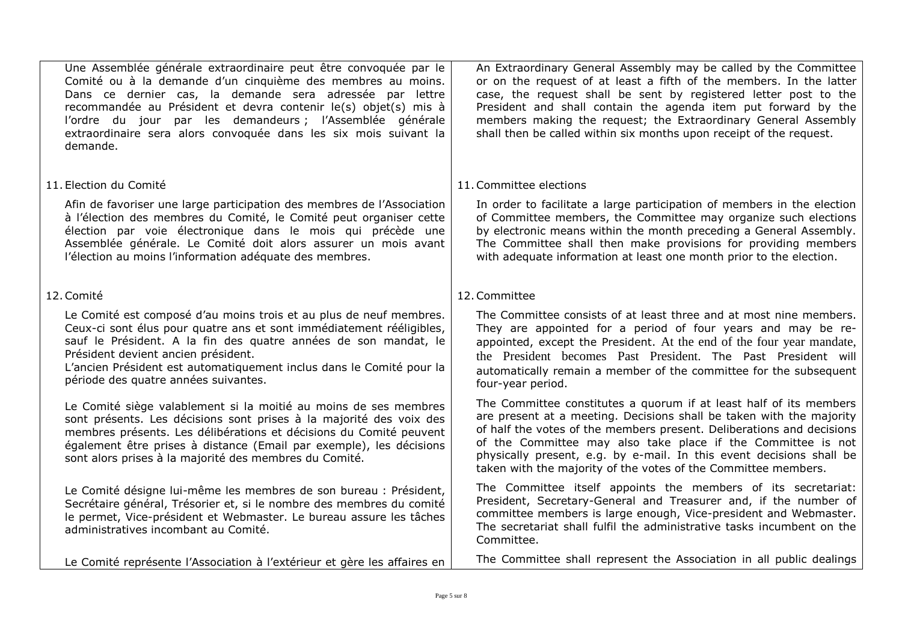Une Assemblée générale extraordinaire peut être convoquée par le Comité ou à la demande d'un cinquième des membres au moins. Dans ce dernier cas, la demande sera adressée par lettre recommandée au Président et devra contenir le(s) objet(s) mis à l'ordre du jour par les demandeurs ; l'Assemblée générale extraordinaire sera alors convoquée dans les six mois suivant la demande.

## 11. Election du Comité

Afin de favoriser une large participation des membres de l'Association à l'élection des membres du Comité, le Comité peut organiser cette élection par voie électronique dans le mois qui précède une Assemblée générale. Le Comité doit alors assurer un mois avant l'élection au moins l'information adéquate des membres.

## 12.Comité

Le Comité est composé d'au moins trois et au plus de neuf membres. Ceux-ci sont élus pour quatre ans et sont immédiatement rééligibles, sauf le Président. A la fin des quatre années de son mandat, le Président devient ancien président.

L'ancien Président est automatiquement inclus dans le Comité pour la période des quatre années suivantes.

Le Comité siège valablement si la moitié au moins de ses membres sont présents. Les décisions sont prises à la majorité des voix des membres présents. Les délibérations et décisions du Comité peuvent également être prises à distance (Email par exemple), les décisions sont alors prises à la majorité des membres du Comité.

Le Comité désigne lui-même les membres de son bureau : Président, Secrétaire général, Trésorier et, si le nombre des membres du comité le permet, Vice-président et Webmaster. Le bureau assure les tâches administratives incombant au Comité.

Le Comité représente l'Association à l'extérieur et gère les affaires en

An Extraordinary General Assembly may be called by the Committee or on the request of at least a fifth of the members. In the latter case, the request shall be sent by registered letter post to the President and shall contain the agenda item put forward by the members making the request; the Extraordinary General Assembly shall then be called within six months upon receipt of the request.

## 11.Committee elections

In order to facilitate a large participation of members in the election of Committee members, the Committee may organize such elections by electronic means within the month preceding a General Assembly. The Committee shall then make provisions for providing members with adequate information at least one month prior to the election.

## 12.Committee

The Committee consists of at least three and at most nine members. They are appointed for a period of four years and may be reappointed, except the President. At the end of the four year mandate, the President becomes Past President. The Past President will automatically remain a member of the committee for the subsequent four-year period.

The Committee constitutes a quorum if at least half of its members are present at a meeting. Decisions shall be taken with the majority of half the votes of the members present. Deliberations and decisions of the Committee may also take place if the Committee is not physically present, e.g. by e-mail. In this event decisions shall be taken with the majority of the votes of the Committee members.

The Committee itself appoints the members of its secretariat: President, Secretary-General and Treasurer and, if the number of committee members is large enough, Vice-president and Webmaster. The secretariat shall fulfil the administrative tasks incumbent on the Committee.

The Committee shall represent the Association in all public dealings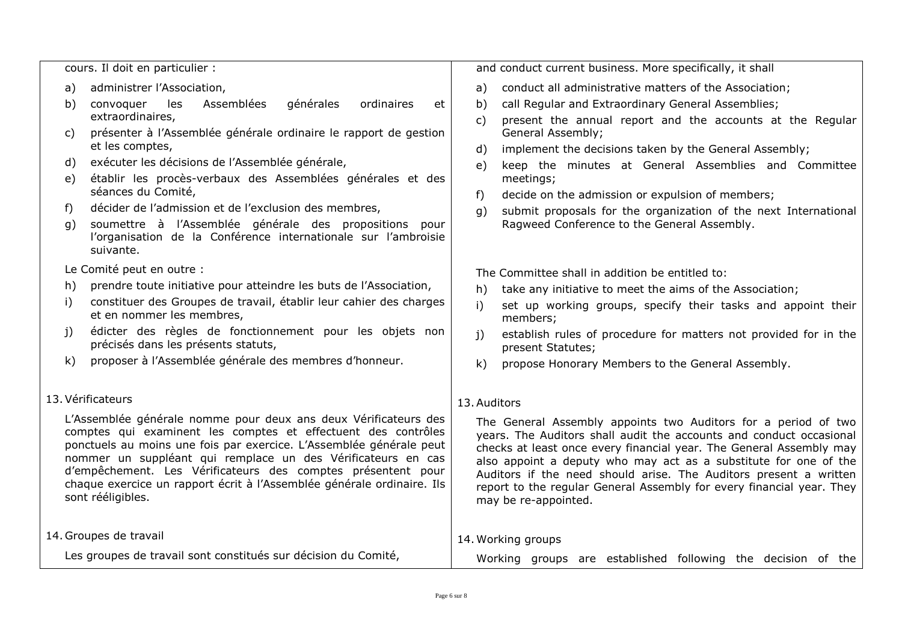| cours. Il doit en particulier :                                |                                                                                                                                                                                                                                                                                                                                                                                                                                        | and conduct current business. More specifically, it shall    |                                                                                                                                                                                                                                                                                                                                                                                                                                                        |  |
|----------------------------------------------------------------|----------------------------------------------------------------------------------------------------------------------------------------------------------------------------------------------------------------------------------------------------------------------------------------------------------------------------------------------------------------------------------------------------------------------------------------|--------------------------------------------------------------|--------------------------------------------------------------------------------------------------------------------------------------------------------------------------------------------------------------------------------------------------------------------------------------------------------------------------------------------------------------------------------------------------------------------------------------------------------|--|
| a)                                                             | administrer l'Association,                                                                                                                                                                                                                                                                                                                                                                                                             | a)                                                           | conduct all administrative matters of the Association;                                                                                                                                                                                                                                                                                                                                                                                                 |  |
| b)                                                             | Assemblées<br>générales<br>convoquer<br>les<br>ordinaires<br>et                                                                                                                                                                                                                                                                                                                                                                        | b)                                                           | call Regular and Extraordinary General Assemblies;                                                                                                                                                                                                                                                                                                                                                                                                     |  |
|                                                                | extraordinaires,                                                                                                                                                                                                                                                                                                                                                                                                                       | C)                                                           | present the annual report and the accounts at the Regular                                                                                                                                                                                                                                                                                                                                                                                              |  |
| C)                                                             | présenter à l'Assemblée générale ordinaire le rapport de gestion                                                                                                                                                                                                                                                                                                                                                                       |                                                              | General Assembly;                                                                                                                                                                                                                                                                                                                                                                                                                                      |  |
|                                                                | et les comptes,                                                                                                                                                                                                                                                                                                                                                                                                                        | d)                                                           | implement the decisions taken by the General Assembly;                                                                                                                                                                                                                                                                                                                                                                                                 |  |
| d)                                                             | exécuter les décisions de l'Assemblée générale,                                                                                                                                                                                                                                                                                                                                                                                        | e)                                                           | keep the minutes at General Assemblies and Committee                                                                                                                                                                                                                                                                                                                                                                                                   |  |
| e)                                                             | établir les procès-verbaux des Assemblées générales et des<br>séances du Comité,                                                                                                                                                                                                                                                                                                                                                       |                                                              | meetings;                                                                                                                                                                                                                                                                                                                                                                                                                                              |  |
| f)                                                             | décider de l'admission et de l'exclusion des membres,                                                                                                                                                                                                                                                                                                                                                                                  | $f$ )                                                        | decide on the admission or expulsion of members;                                                                                                                                                                                                                                                                                                                                                                                                       |  |
| g)                                                             | soumettre à l'Assemblée générale des propositions<br>pour                                                                                                                                                                                                                                                                                                                                                                              | q)                                                           | submit proposals for the organization of the next International<br>Ragweed Conference to the General Assembly.                                                                                                                                                                                                                                                                                                                                         |  |
|                                                                | l'organisation de la Conférence internationale sur l'ambroisie                                                                                                                                                                                                                                                                                                                                                                         |                                                              |                                                                                                                                                                                                                                                                                                                                                                                                                                                        |  |
|                                                                | suivante.                                                                                                                                                                                                                                                                                                                                                                                                                              |                                                              |                                                                                                                                                                                                                                                                                                                                                                                                                                                        |  |
|                                                                | Le Comité peut en outre :                                                                                                                                                                                                                                                                                                                                                                                                              |                                                              | The Committee shall in addition be entitled to:                                                                                                                                                                                                                                                                                                                                                                                                        |  |
| h)                                                             | prendre toute initiative pour atteindre les buts de l'Association,                                                                                                                                                                                                                                                                                                                                                                     | h)                                                           | take any initiative to meet the aims of the Association;                                                                                                                                                                                                                                                                                                                                                                                               |  |
| i)                                                             | constituer des Groupes de travail, établir leur cahier des charges                                                                                                                                                                                                                                                                                                                                                                     | i)                                                           | set up working groups, specify their tasks and appoint their                                                                                                                                                                                                                                                                                                                                                                                           |  |
|                                                                | et en nommer les membres,                                                                                                                                                                                                                                                                                                                                                                                                              |                                                              | members;                                                                                                                                                                                                                                                                                                                                                                                                                                               |  |
| j)                                                             | édicter des règles de fonctionnement pour les objets non<br>précisés dans les présents statuts,                                                                                                                                                                                                                                                                                                                                        | $\mathbf{i}$                                                 | establish rules of procedure for matters not provided for in the<br>present Statutes;                                                                                                                                                                                                                                                                                                                                                                  |  |
| $\mathsf{k}$                                                   | proposer à l'Assemblée générale des membres d'honneur.                                                                                                                                                                                                                                                                                                                                                                                 | k)                                                           | propose Honorary Members to the General Assembly.                                                                                                                                                                                                                                                                                                                                                                                                      |  |
|                                                                |                                                                                                                                                                                                                                                                                                                                                                                                                                        |                                                              |                                                                                                                                                                                                                                                                                                                                                                                                                                                        |  |
|                                                                | 13. Vérificateurs                                                                                                                                                                                                                                                                                                                                                                                                                      | 13. Auditors                                                 |                                                                                                                                                                                                                                                                                                                                                                                                                                                        |  |
|                                                                | L'Assemblée générale nomme pour deux ans deux Vérificateurs des<br>comptes qui examinent les comptes et effectuent des contrôles<br>ponctuels au moins une fois par exercice. L'Assemblée générale peut<br>nommer un suppléant qui remplace un des Vérificateurs en cas<br>d'empêchement. Les Vérificateurs des comptes présentent pour<br>chaque exercice un rapport écrit à l'Assemblée générale ordinaire. Ils<br>sont rééligibles. |                                                              | The General Assembly appoints two Auditors for a period of two<br>years. The Auditors shall audit the accounts and conduct occasional<br>checks at least once every financial year. The General Assembly may<br>also appoint a deputy who may act as a substitute for one of the<br>Auditors if the need should arise. The Auditors present a written<br>report to the regular General Assembly for every financial year. They<br>may be re-appointed. |  |
| 14. Groupes de travail                                         |                                                                                                                                                                                                                                                                                                                                                                                                                                        |                                                              | 14. Working groups                                                                                                                                                                                                                                                                                                                                                                                                                                     |  |
| Les groupes de travail sont constitués sur décision du Comité, |                                                                                                                                                                                                                                                                                                                                                                                                                                        | Working groups are established following the decision of the |                                                                                                                                                                                                                                                                                                                                                                                                                                                        |  |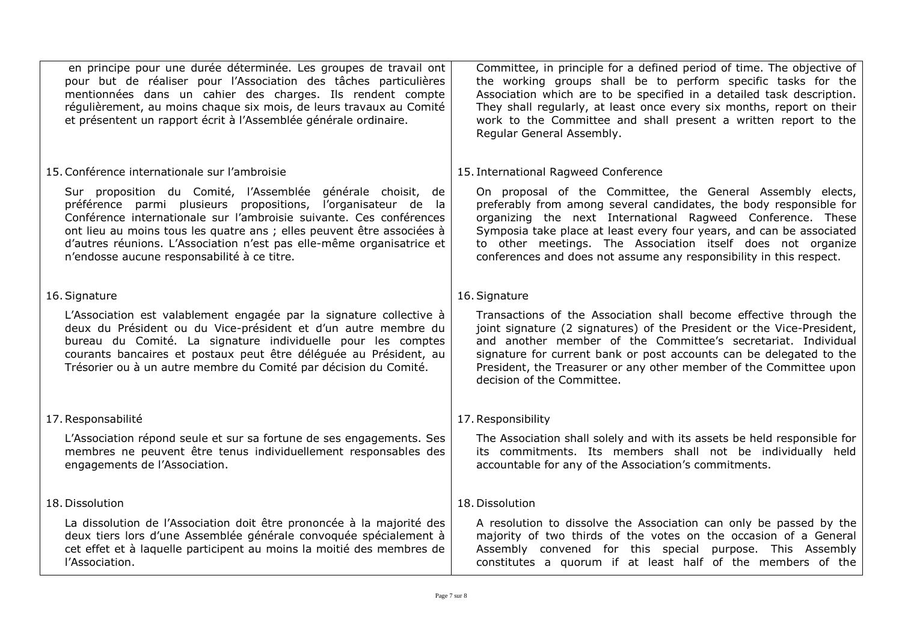| en principe pour une durée déterminée. Les groupes de travail ont<br>pour but de réaliser pour l'Association des tâches particulières<br>mentionnées dans un cahier des charges. Ils rendent compte<br>régulièrement, au moins chaque six mois, de leurs travaux au Comité<br>et présentent un rapport écrit à l'Assemblée générale ordinaire.                                                        | Committee, in principle for a defined period of time. The objective of<br>the working groups shall be to perform specific tasks for the<br>Association which are to be specified in a detailed task description.<br>They shall regularly, at least once every six months, report on their<br>work to the Committee and shall present a written report to the<br>Regular General Assembly.                     |  |
|-------------------------------------------------------------------------------------------------------------------------------------------------------------------------------------------------------------------------------------------------------------------------------------------------------------------------------------------------------------------------------------------------------|---------------------------------------------------------------------------------------------------------------------------------------------------------------------------------------------------------------------------------------------------------------------------------------------------------------------------------------------------------------------------------------------------------------|--|
| 15. Conférence internationale sur l'ambroisie                                                                                                                                                                                                                                                                                                                                                         | 15. International Ragweed Conference                                                                                                                                                                                                                                                                                                                                                                          |  |
| Sur proposition du Comité, l'Assemblée générale choisit, de<br>préférence parmi plusieurs propositions, l'organisateur de la<br>Conférence internationale sur l'ambroisie suivante. Ces conférences<br>ont lieu au moins tous les quatre ans ; elles peuvent être associées à<br>d'autres réunions. L'Association n'est pas elle-même organisatrice et<br>n'endosse aucune responsabilité à ce titre. | On proposal of the Committee, the General Assembly elects,<br>preferably from among several candidates, the body responsible for<br>organizing the next International Ragweed Conference. These<br>Symposia take place at least every four years, and can be associated<br>to other meetings. The Association itself does not organize<br>conferences and does not assume any responsibility in this respect. |  |
| 16. Signature                                                                                                                                                                                                                                                                                                                                                                                         | 16. Signature                                                                                                                                                                                                                                                                                                                                                                                                 |  |
| L'Association est valablement engagée par la signature collective à<br>deux du Président ou du Vice-président et d'un autre membre du<br>bureau du Comité. La signature individuelle pour les comptes<br>courants bancaires et postaux peut être déléguée au Président, au<br>Trésorier ou à un autre membre du Comité par décision du Comité.                                                        | Transactions of the Association shall become effective through the<br>joint signature (2 signatures) of the President or the Vice-President,<br>and another member of the Committee's secretariat. Individual<br>signature for current bank or post accounts can be delegated to the<br>President, the Treasurer or any other member of the Committee upon<br>decision of the Committee.                      |  |
| 17. Responsabilité                                                                                                                                                                                                                                                                                                                                                                                    | 17. Responsibility                                                                                                                                                                                                                                                                                                                                                                                            |  |
| L'Association répond seule et sur sa fortune de ses engagements. Ses<br>membres ne peuvent être tenus individuellement responsables des<br>engagements de l'Association.                                                                                                                                                                                                                              | The Association shall solely and with its assets be held responsible for<br>its commitments. Its members shall not be individually held<br>accountable for any of the Association's commitments.                                                                                                                                                                                                              |  |
| 18. Dissolution                                                                                                                                                                                                                                                                                                                                                                                       | 18. Dissolution                                                                                                                                                                                                                                                                                                                                                                                               |  |
| La dissolution de l'Association doit être prononcée à la majorité des<br>deux tiers lors d'une Assemblée générale convoquée spécialement à<br>cet effet et à laquelle participent au moins la moitié des membres de<br>l'Association.                                                                                                                                                                 | A resolution to dissolve the Association can only be passed by the<br>majority of two thirds of the votes on the occasion of a General<br>Assembly convened for this special purpose. This Assembly<br>constitutes a quorum if at least half of the members of the                                                                                                                                            |  |